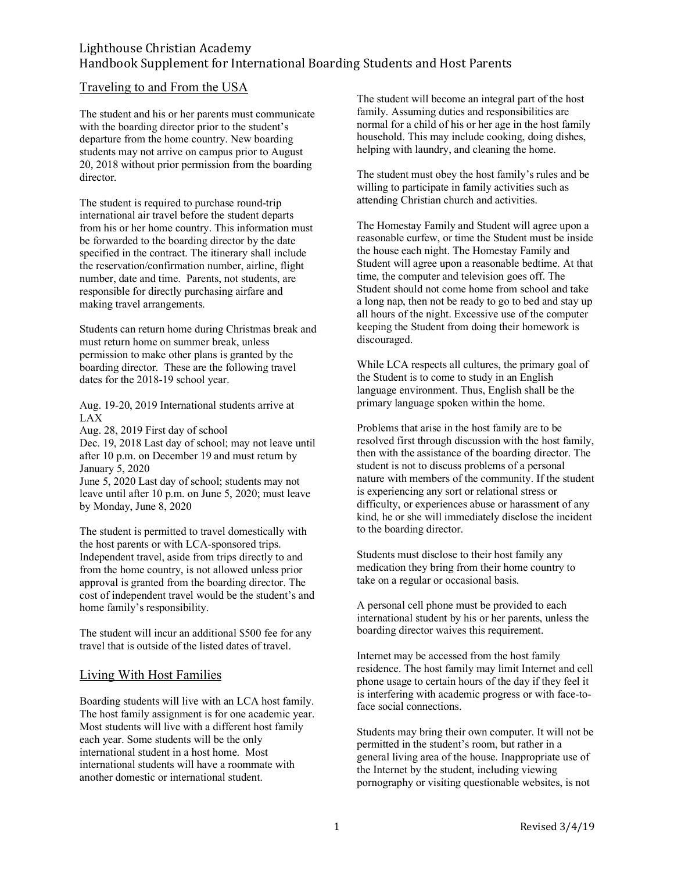# Lighthouse Christian Academy Handbook Supplement for International Boarding Students and Host Parents

### Traveling to and From the USA

The student and his or her parents must communicate with the boarding director prior to the student's departure from the home country. New boarding students may not arrive on campus prior to August 20, 2018 without prior permission from the boarding director.

The student is required to purchase round-trip international air travel before the student departs from his or her home country. This information must be forwarded to the boarding director by the date specified in the contract. The itinerary shall include the reservation/confirmation number, airline, flight number, date and time. Parents, not students, are responsible for directly purchasing airfare and making travel arrangements.

Students can return home during Christmas break and must return home on summer break, unless permission to make other plans is granted by the boarding director. These are the following travel dates for the 2018-19 school year.

Aug. 19-20, 2019 International students arrive at LAX

Aug. 28, 2019 First day of school Dec. 19, 2018 Last day of school; may not leave until after 10 p.m. on December 19 and must return by January 5, 2020

June 5, 2020 Last day of school; students may not leave until after 10 p.m. on June 5, 2020; must leave by Monday, June 8, 2020

The student is permitted to travel domestically with the host parents or with LCA-sponsored trips. Independent travel, aside from trips directly to and from the home country, is not allowed unless prior approval is granted from the boarding director. The cost of independent travel would be the student's and home family's responsibility.

The student will incur an additional \$500 fee for any travel that is outside of the listed dates of travel.

### Living With Host Families

Boarding students will live with an LCA host family. The host family assignment is for one academic year. Most students will live with a different host family each year. Some students will be the only international student in a host home. Most international students will have a roommate with another domestic or international student.

The student will become an integral part of the host family. Assuming duties and responsibilities are normal for a child of his or her age in the host family household. This may include cooking, doing dishes, helping with laundry, and cleaning the home.

The student must obey the host family's rules and be willing to participate in family activities such as attending Christian church and activities.

The Homestay Family and Student will agree upon a reasonable curfew, or time the Student must be inside the house each night. The Homestay Family and Student will agree upon a reasonable bedtime. At that time, the computer and television goes off. The Student should not come home from school and take a long nap, then not be ready to go to bed and stay up all hours of the night. Excessive use of the computer keeping the Student from doing their homework is discouraged.

While LCA respects all cultures, the primary goal of the Student is to come to study in an English language environment. Thus, English shall be the primary language spoken within the home.

Problems that arise in the host family are to be resolved first through discussion with the host family, then with the assistance of the boarding director. The student is not to discuss problems of a personal nature with members of the community. If the student is experiencing any sort or relational stress or difficulty, or experiences abuse or harassment of any kind, he or she will immediately disclose the incident to the boarding director.

Students must disclose to their host family any medication they bring from their home country to take on a regular or occasional basis.

A personal cell phone must be provided to each international student by his or her parents, unless the boarding director waives this requirement.

Internet may be accessed from the host family residence. The host family may limit Internet and cell phone usage to certain hours of the day if they feel it is interfering with academic progress or with face-toface social connections.

Students may bring their own computer. It will not be permitted in the student's room, but rather in a general living area of the house. Inappropriate use of the Internet by the student, including viewing pornography or visiting questionable websites, is not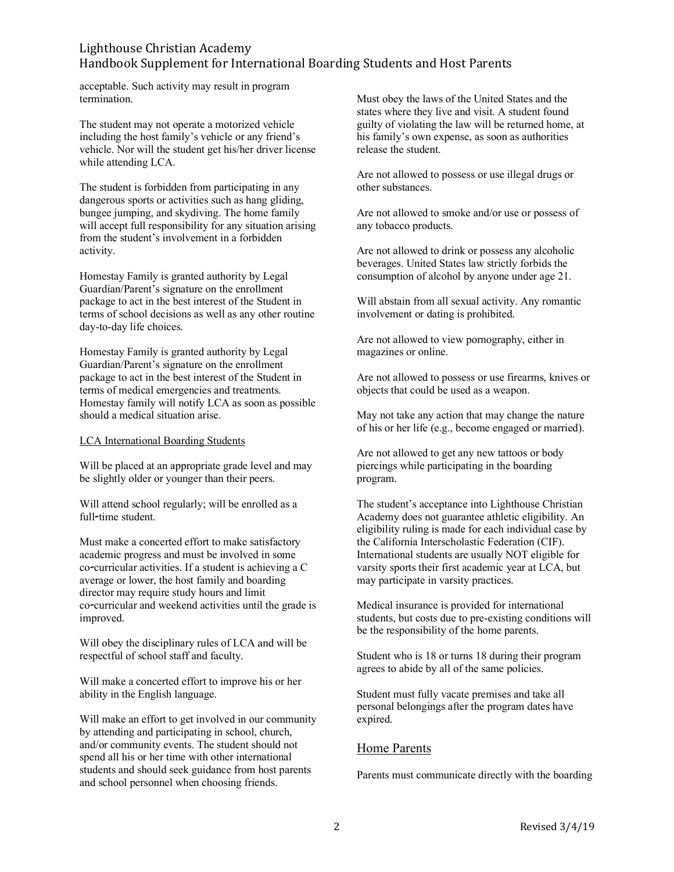## Lighthouse Christian Academy Handbook Supplement for International Boarding Students and Host Parents

acceptable. Such activity may result in program termination.

The student may not operate a motorized vehicle including the host family's vehicle or any friend's vehicle. Nor will the student get his/her driver license while attending LCA.

The student is forbidden from participating in any dangerous sports or activities such as hang gliding, bungee jumping, and skydiving. The home family will accept full responsibility for any situation arising from the student's involvement in a forbidden activity.

Homestay Family is granted authority by Legal Guardian/Parent's signature on the enrollment package to act in the best interest of the Student in terms of school decisions as well as any other routine day-to-day life choices.

Homestay Family is granted authority by Legal Guardian/Parent's signature on the enrollment package to act in the best interest of the Student in terms of medical emergencies and treatments. Homestay family will notify LCA as soon as possible should a medical situation arise.

#### LCA International Boarding Students

Will be placed at an appropriate grade level and may be slightly older or younger than their peers.

Will attend school regularly; will be enrolled as a full-time student.

Must make a concerted effort to make satisfactory academic progress and must be involved in some co-curricular activities. If a student is achieving a C average or lower, the host family and boarding director may require study hours and limit co-curricular and weekend activities until the grade is improved.

Will obey the disciplinary rules of LCA and will be respectful of school staff and faculty.

Will make a concerted effort to improve his or her ability in the English language.

Will make an effort to get involved in our community by attending and participating in school, church, and/or community events. The student should not spend all his or her time with other international students and should seek guidance from host parents and school personnel when choosing friends.

Must obey the laws of the United States and the states where they live and visit. A student found guilty of violating the law will be returned home, at his family's own expense, as soon as authorities release the student.

Are not allowed to possess or use illegal drugs or other substances.

Are not allowed to smoke and/or use or possess of any tobacco products.

Are not allowed to drink or possess any alcoholic beverages. United States law strictly forbids the consumption of alcohol by anyone under age 21.

Will abstain from all sexual activity. Any romantic involvement or dating is prohibited.

Are not allowed to view pornography, either in magazines or online.

Are not allowed to possess or use firearms, knives or objects that could be used as a weapon.

May not take any action that may change the nature of his or her life (e.g., become engaged or married).

Are not allowed to get any new tattoos or body piercings while participating in the boarding program.

The student's acceptance into Lighthouse Christian Academy does not guarantee athletic eligibility. An eligibility ruling is made for each individual case by the California Interscholastic Federation (CIF). International students are usually NOT eligible for varsity sports their first academic year at LCA, but may participate in varsity practices.

Medical insurance is provided for international students, but costs due to pre-existing conditions will be the responsibility of the home parents.

Student who is 18 or turns 18 during their program agrees to abide by all of the same policies.

Student must fully vacate premises and take all personal belongings after the program dates have expired.

### Home Parents

Parents must communicate directly with the boarding